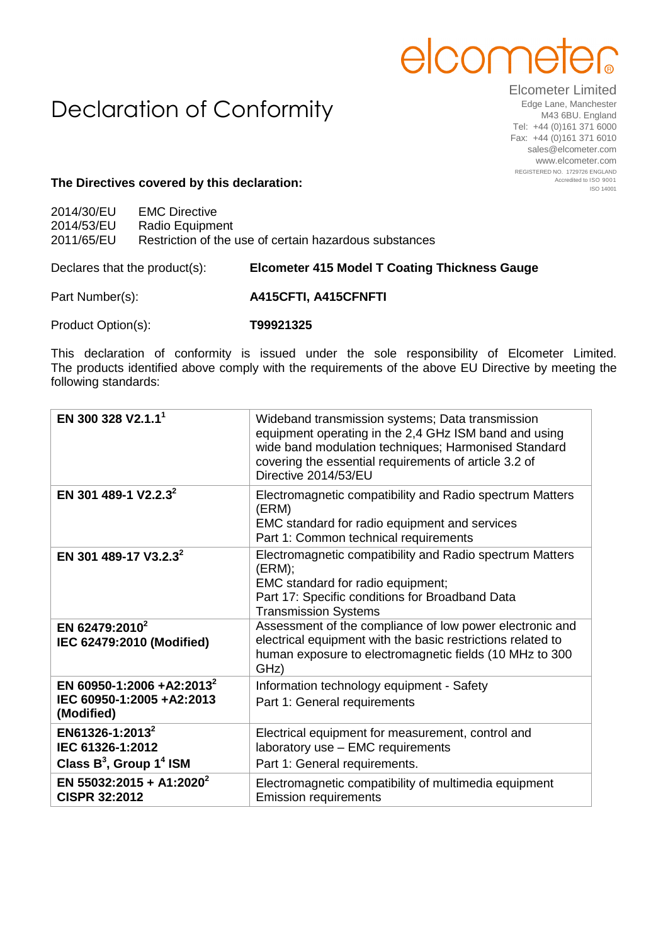## elcome

## Declaration of Conformity

Elcometer Limited Edge Lane, Manchester M43 6BU. England Tel: +44 (0)161 371 6000 Fax: +44 (0)161 371 6010 sales@elcometer.com www.elcometer.com REGISTERED NO. 1729726 ENGLAND Accredited to ISO 9001 ISO 14001

## **The Directives covered by this declaration:**

| 2014/30/EU | <b>EMC Directive</b>                                   |
|------------|--------------------------------------------------------|
| 2014/53/EU | Radio Equipment                                        |
| 2011/65/EU | Restriction of the use of certain hazardous substances |
|            |                                                        |

Declares that the product(s): **Elcometer 415 Model T Coating Thickness Gauge**

Part Number(s): **A415CFTI, A415CFNFTI**

Product Option(s): **T99921325**

This declaration of conformity is issued under the sole responsibility of Elcometer Limited. The products identified above comply with the requirements of the above EU Directive by meeting the following standards:

| EN 300 328 V2.1.1 <sup>1</sup>                                                   | Wideband transmission systems; Data transmission<br>equipment operating in the 2,4 GHz ISM band and using<br>wide band modulation techniques; Harmonised Standard<br>covering the essential requirements of article 3.2 of<br>Directive 2014/53/EU |
|----------------------------------------------------------------------------------|----------------------------------------------------------------------------------------------------------------------------------------------------------------------------------------------------------------------------------------------------|
| EN 301 489-1 V2.2.3 <sup>2</sup>                                                 | Electromagnetic compatibility and Radio spectrum Matters<br>(ERM)<br>EMC standard for radio equipment and services<br>Part 1: Common technical requirements                                                                                        |
| EN 301 489-17 V3.2.3 <sup>2</sup>                                                | Electromagnetic compatibility and Radio spectrum Matters<br>(ERM);<br>EMC standard for radio equipment;<br>Part 17: Specific conditions for Broadband Data<br><b>Transmission Systems</b>                                                          |
| EN 62479:2010 <sup>2</sup><br>IEC 62479:2010 (Modified)                          | Assessment of the compliance of low power electronic and<br>electrical equipment with the basic restrictions related to<br>human exposure to electromagnetic fields (10 MHz to 300<br>GHz)                                                         |
| EN 60950-1:2006 +A2:2013 <sup>2</sup><br>IEC 60950-1:2005 +A2:2013<br>(Modified) | Information technology equipment - Safety<br>Part 1: General requirements                                                                                                                                                                          |
| EN61326-1:2013 <sup>2</sup><br>IEC 61326-1:2012<br>Class $B^3$ , Group $1^4$ ISM | Electrical equipment for measurement, control and<br>laboratory use - EMC requirements<br>Part 1: General requirements.                                                                                                                            |
| EN 55032:2015 + A1:2020 <sup>2</sup><br><b>CISPR 32:2012</b>                     | Electromagnetic compatibility of multimedia equipment<br><b>Emission requirements</b>                                                                                                                                                              |